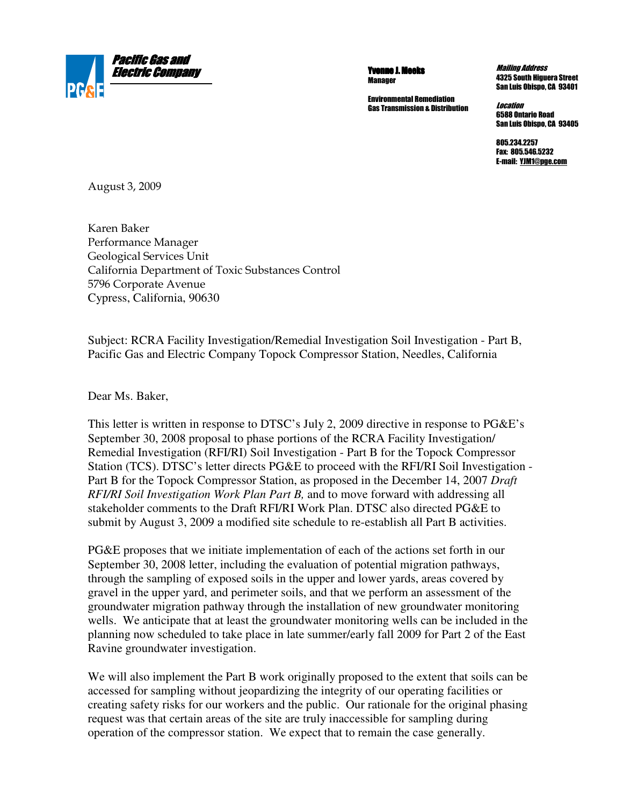

Yvonne J. Meeks **Manager** 

Environmental Remediation Gas Transmission & Distribution

Mailing Address 4325 South Higuera Street San Luis Obispo, CA 93401

**Location** 6588 Ontario Road San Luis Obispo, CA 93405

805.234.2257 Fax: 805.546.5232 E-mail: YJM1@pge.com

August 3, 2009

Karen Baker Performance Manager Geological Services Unit California Department of Toxic Substances Control 5796 Corporate Avenue Cypress, California, 90630

Subject: RCRA Facility Investigation/ Remedial Investigation Soil Investigation - Part B, Pacific Gas and Electric Company Topock Compressor Station, Needles, California

Dear Ms. Baker,

This letter is written in response to DTSC's July 2, 2009 directive in response to PG&E's September 30, 2008 proposal to phase portions of the RCRA Facility Investigation/ Remedial Investigation (RFI/RI) Soil Investigation - Part B for the Topock Compressor Station (TCS). DTSC's letter directs PG&E to proceed with the RFI/RI Soil Investigation - Part B for the Topock Compressor Station, as proposed in the December 14, 2007 *Draft RFI/RI Soil Investigation Work Plan Part B,* and to move forward with addressing all stakeholder comments to the Draft RFI/RI Work Plan. DTSC also directed PG&E to submit by August 3, 2009 a modified site schedule to re-establish all Part B activities.

PG&E proposes that we initiate implementation of each of the actions set forth in our September 30, 2008 letter, including the evaluation of potential migration pathways, through the sampling of exposed soils in the upper and lower yards, areas covered by gravel in the upper yard, and perimeter soils, and that we perform an assessment of the groundwater migration pathway through the installation of new groundwater monitoring wells. We anticipate that at least the groundwater monitoring wells can be included in the planning now scheduled to take place in late summer/early fall 2009 for Part 2 of the East Ravine groundwater investigation.

We will also implement the Part B work originally proposed to the extent that soils can be accessed for sampling without jeopardizing the integrity of our operating facilities or creating safety risks for our workers and the public. Our rationale for the original phasing request was that certain areas of the site are truly inaccessible for sampling during operation of the compressor station. We expect that to remain the case generally.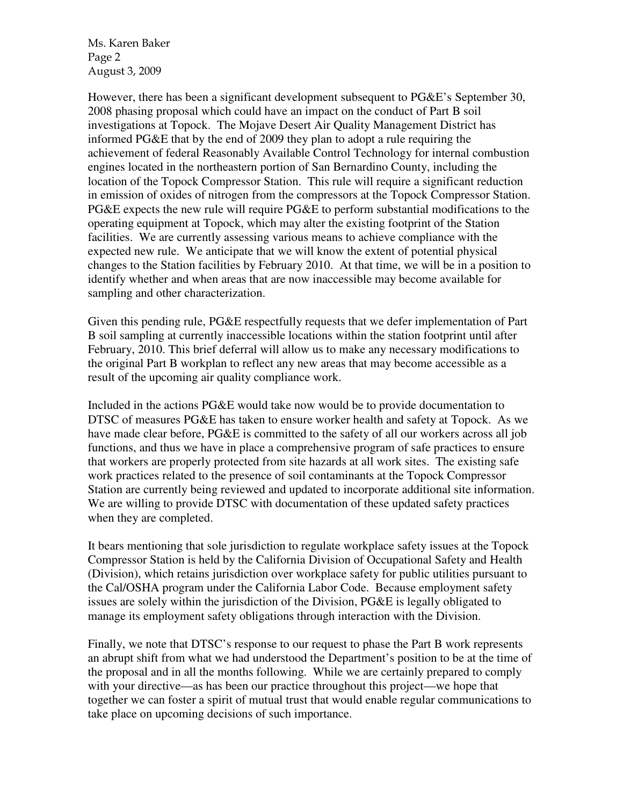Ms. Karen Baker Page 2 August 3, 2009

However, there has been a significant development subsequent to PG&E's September 30, 2008 phasing proposal which could have an impact on the conduct of Part B soil investigations at Topock. The Mojave Desert Air Quality Management District has informed PG&E that by the end of 2009 they plan to adopt a rule requiring the achievement of federal Reasonably Available Control Technology for internal combustion engines located in the northeastern portion of San Bernardino County, including the location of the Topock Compressor Station. This rule will require a significant reduction in emission of oxides of nitrogen from the compressors at the Topock Compressor Station. PG&E expects the new rule will require PG&E to perform substantial modifications to the operating equipment at Topock, which may alter the existing footprint of the Station facilities. We are currently assessing various means to achieve compliance with the expected new rule. We anticipate that we will know the extent of potential physical changes to the Station facilities by February 2010. At that time, we will be in a position to identify whether and when areas that are now inaccessible may become available for sampling and other characterization.

Given this pending rule, PG&E respectfully requests that we defer implementation of Part B soil sampling at currently inaccessible locations within the station footprint until after February, 2010. This brief deferral will allow us to make any necessary modifications to the original Part B workplan to reflect any new areas that may become accessible as a result of the upcoming air quality compliance work.

Included in the actions PG&E would take now would be to provide documentation to DTSC of measures PG&E has taken to ensure worker health and safety at Topock. As we have made clear before, PG&E is committed to the safety of all our workers across all job functions, and thus we have in place a comprehensive program of safe practices to ensure that workers are properly protected from site hazards at all work sites. The existing safe work practices related to the presence of soil contaminants at the Topock Compressor Station are currently being reviewed and updated to incorporate additional site information. We are willing to provide DTSC with documentation of these updated safety practices when they are completed.

It bears mentioning that sole jurisdiction to regulate workplace safety issues at the Topock Compressor Station is held by the California Division of Occupational Safety and Health (Division), which retains jurisdiction over workplace safety for public utilities pursuant to the Cal/OSHA program under the California Labor Code. Because employment safety issues are solely within the jurisdiction of the Division, PG&E is legally obligated to manage its employment safety obligations through interaction with the Division.

Finally, we note that DTSC's response to our request to phase the Part B work represents an abrupt shift from what we had understood the Department's position to be at the time of the proposal and in all the months following. While we are certainly prepared to comply with your directive—as has been our practice throughout this project—we hope that together we can foster a spirit of mutual trust that would enable regular communications to take place on upcoming decisions of such importance.